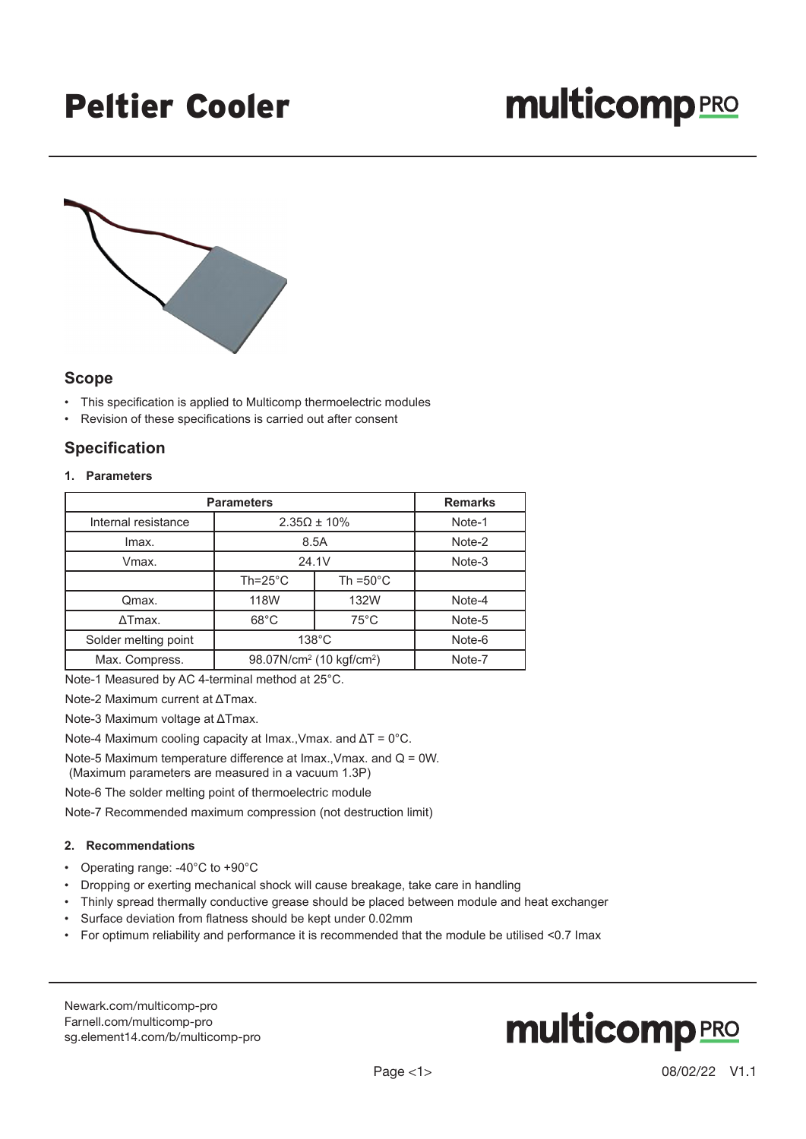### Peltier Cooler

# **multicomp** PRO



#### **Scope**

- This specification is applied to Multicomp thermoelectric modules
- Revision of these specifications is carried out after consent

### **Specification**

#### **1. Parameters**

| <b>Parameters</b>    |                                                  |                     | <b>Remarks</b> |
|----------------------|--------------------------------------------------|---------------------|----------------|
| Internal resistance  | $2.35\Omega \pm 10\%$                            |                     | Note-1         |
| Imax.                | 8.5A                                             |                     | Note-2         |
| Vmax.                | 24.1V                                            |                     | Note-3         |
|                      | $Th = 25^{\circ}C$                               | Th = $50^{\circ}$ C |                |
| Qmax.                | 118W                                             | 132W                | Note-4         |
| $\Delta$ Tmax.       | $68^{\circ}$ C                                   | $75^{\circ}$ C      | Note-5         |
| Solder melting point | $138^{\circ}$ C                                  |                     | Note-6         |
| Max. Compress.       | 98.07N/cm <sup>2</sup> (10 kgf/cm <sup>2</sup> ) |                     | Note-7         |

Note-1 Measured by AC 4-terminal method at 25°C.

Note-2 Maximum current at ΔTmax.

Note-3 Maximum voltage at ΔTmax.

Note-4 Maximum cooling capacity at Imax.,Vmax. and ΔT = 0°C.

Note-5 Maximum temperature difference at Imax.,Vmax. and Q = 0W. (Maximum parameters are measured in a vacuum 1.3P)

Note-6 The solder melting point of thermoelectric module

Note-7 Recommended maximum compression (not destruction limit)

#### **2. Recommendations**

- Operating range: -40°C to +90°C
- Dropping or exerting mechanical shock will cause breakage, take care in handling
- Thinly spread thermally conductive grease should be placed between module and heat exchanger
- Surface deviation from flatness should be kept under 0.02mm
- For optimum reliability and performance it is recommended that the module be utilised <0.7 Imax

[Newark.com/multicomp-](https://www.newark.com/multicomp-pro)pro [Farnell.com/multicomp](https://www.farnell.com/multicomp-pro)-pro [sg.element14.com/b/multicomp-pro](https://sg.element14.com/b/multicomp-pro)

# **multicomp**PRO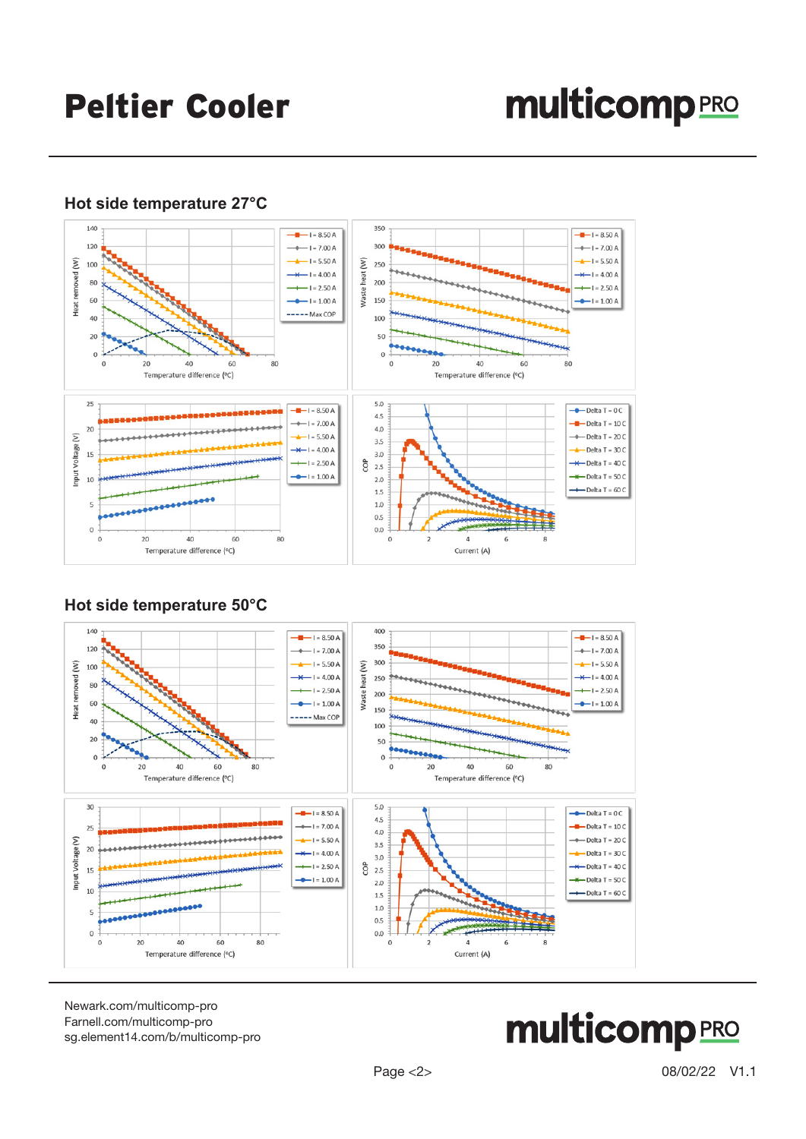# **multicomp**PRO

### **Hot side temperature 27°C**



### **Hot side temperature 50°C**



[Newark.com/multicomp-](https://www.newark.com/multicomp-pro)pro [Farnell.com/multicomp](https://www.farnell.com/multicomp-pro)-pro [sg.element14.com/b/multicomp-pro](https://sg.element14.com/b/multicomp-pro)